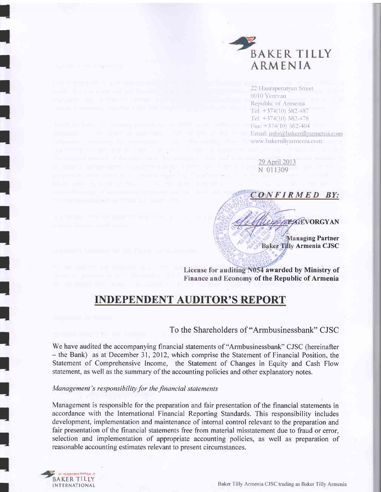

22 Hanrapetutyan Street 0010 Yerevan Republic of Armenia. Tel:  $+374(10)$  582-487 Tel: +374(10) 582-478 Fax:  $+374(10)$  562-404 Email: info@bakertillyarmenia.com www.bakertillyarmenia.com

29 April 2013 N 011309

CONFIRMED BY: **PSGEVORGYAN Managing Partner Baker Tilly Armenia CJSC** 

License for auditing N054 awarded by Ministry of Finance and Economy of the Republic of Armenia

# **INDEPENDENT AUDITOR'S REPORT**

## To the Shareholders of "Armbusinessbank" CJSC

We have audited the accompanying financial statements of "Armbusinessbank" CJSC (hereinafter - the Bank) as at December 31, 2012, which comprise the Statement of Financial Position, the Statement of Comprehensive Income, the Statement of Changes in Equity and Cash Flow statement, as well as the summary of the accounting policies and other explanatory notes.

### Management's responsibility for the financial statements

Management is responsible for the preparation and fair presentation of the financial statements in accordance with the International Financial Reporting Standards. This responsibility includes development, implementation and maintenance of internal control relevant to the preparation and fair presentation of the financial statements free from material misstatement due to fraud or error, selection and implementation of appropriate accounting policies, as well as preparation of reasonable accounting estimates relevant to present circumstances.



Baker Tilly Armenia CJSC trading as Baker Tilly Armenia